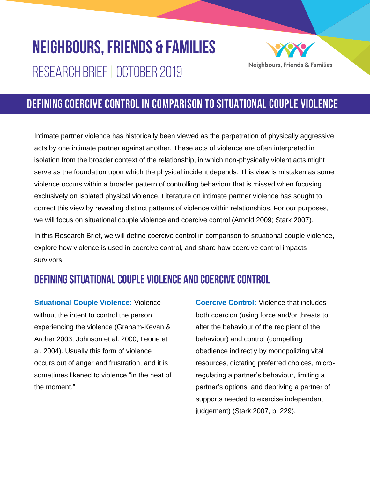# **NEIGHBOURS, FRIENDS & FAMILIES** RESEARCH BRIEF | OCTOBER 2019



# DEFINING COERCIVE CONTROL IN COMPARISON TO SITUATIONAL COUPLE VIOLENCE

Intimate partner violence has historically been viewed as the perpetration of physically aggressive acts by one intimate partner against another. These acts of violence are often interpreted in isolation from the broader context of the relationship, in which non-physically violent acts might serve as the foundation upon which the physical incident depends. This view is mistaken as some violence occurs within a broader pattern of controlling behaviour that is missed when focusing exclusively on isolated physical violence. Literature on intimate partner violence has sought to correct this view by revealing distinct patterns of violence within relationships. For our purposes, we will focus on situational couple violence and coercive control (Arnold 2009; Stark 2007).

In this Research Brief, we will define coercive control in comparison to situational couple violence, explore how violence is used in coercive control, and share how coercive control impacts survivors.

## DEFINING SITUATIONAL COUPLE VIOLENCE AND COERCIVE CONTROL

**Situational Couple Violence:** Violence without the intent to control the person experiencing the violence (Graham-Kevan & Archer 2003; Johnson et al. 2000; Leone et al. 2004). Usually this form of violence occurs out of anger and frustration, and it is sometimes likened to violence "in the heat of the moment."

**Coercive Control:** Violence that includes both coercion (using force and/or threats to alter the behaviour of the recipient of the behaviour) and control (compelling obedience indirectly by monopolizing vital resources, dictating preferred choices, microregulating a partner's behaviour, limiting a partner's options, and depriving a partner of supports needed to exercise independent judgement) (Stark 2007, p. 229).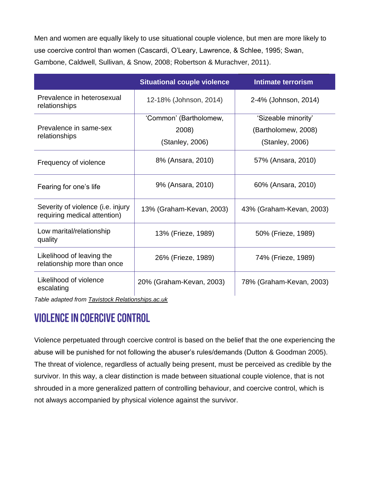Men and women are equally likely to use situational couple violence, but men are more likely to use coercive control than women (Cascardi, O'Leary, Lawrence, & Schlee, 1995; Swan, Gambone, Caldwell, Sullivan, & Snow, 2008; Robertson & Murachver, 2011).

|                                                                   | <b>Situational couple violence</b> | <b>Intimate terrorism</b> |
|-------------------------------------------------------------------|------------------------------------|---------------------------|
| Prevalence in heterosexual<br>relationships                       | 12-18% (Johnson, 2014)             | 2-4% (Johnson, 2014)      |
| Prevalence in same-sex<br>relationships                           | 'Common' (Bartholomew,             | 'Sizeable minority'       |
|                                                                   | 2008)                              | (Bartholomew, 2008)       |
|                                                                   | (Stanley, 2006)                    | (Stanley, 2006)           |
| Frequency of violence                                             | 8% (Ansara, 2010)                  | 57% (Ansara, 2010)        |
| Fearing for one's life                                            | 9% (Ansara, 2010)                  | 60% (Ansara, 2010)        |
| Severity of violence (i.e. injury<br>requiring medical attention) | 13% (Graham-Kevan, 2003)           | 43% (Graham-Kevan, 2003)  |
| Low marital/relationship<br>quality                               | 13% (Frieze, 1989)                 | 50% (Frieze, 1989)        |
| Likelihood of leaving the<br>relationship more than once          | 26% (Frieze, 1989)                 | 74% (Frieze, 1989)        |
| Likelihood of violence<br>escalating                              | 20% (Graham-Kevan, 2003)           | 78% (Graham-Kevan, 2003)  |

*Table adapted from [Tavistock Relationships.ac.uk](https://tavistockrelationships.ac.uk/policy-research/policy-briefings/914-couples-with-situational-violence)*

## **VIOLENCE IN COERCIVE CONTROL**

Violence perpetuated through coercive control is based on the belief that the one experiencing the abuse will be punished for not following the abuser's rules/demands (Dutton & Goodman 2005). The threat of violence, regardless of actually being present, must be perceived as credible by the survivor. In this way, a clear distinction is made between situational couple violence, that is not shrouded in a more generalized pattern of controlling behaviour, and coercive control, which is not always accompanied by physical violence against the survivor.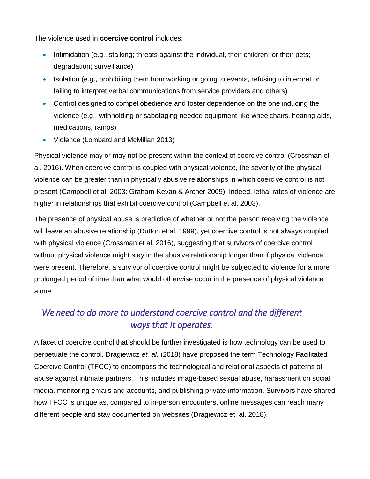The violence used in **coercive control** includes:

- Intimidation (e.g., stalking; threats against the individual, their children, or their pets; degradation; surveillance)
- Isolation (e.g., prohibiting them from working or going to events, refusing to interpret or failing to interpret verbal communications from service providers and others)
- Control designed to compel obedience and foster dependence on the one inducing the violence (e.g., withholding or sabotaging needed equipment like wheelchairs, hearing aids, medications, ramps)
- Violence (Lombard and McMillan 2013)

Physical violence may or may not be present within the context of coercive control (Crossman et al. 2016). When coercive control is coupled with physical violence, the severity of the physical violence can be greater than in physically abusive relationships in which coercive control is not present (Campbell et al. 2003; Graham-Kevan & Archer 2009). Indeed, lethal rates of violence are higher in relationships that exhibit coercive control (Campbell et al. 2003).

The presence of physical abuse is predictive of whether or not the person receiving the violence will leave an abusive relationship (Dutton et al. 1999), yet coercive control is not always coupled with physical violence (Crossman et al. 2016), suggesting that survivors of coercive control without physical violence might stay in the abusive relationship longer than if physical violence were present. Therefore, a survivor of coercive control might be subjected to violence for a more prolonged period of time than what would otherwise occur in the presence of physical violence alone.

#### *We need to do more to understand coercive control and the different ways that it operates.*

A facet of coercive control that should be further investigated is how technology can be used to perpetuate the control. Dragiewicz *et. al.* (2018) have proposed the term Technology Facilitated Coercive Control (TFCC) to encompass the technological and relational aspects of patterns of abuse against intimate partners. This includes image-based sexual abuse, harassment on social media, monitoring emails and accounts, and publishing private information. Survivors have shared how TFCC is unique as, compared to in-person encounters, online messages can reach many different people and stay documented on websites (Dragiewicz et. al. 2018).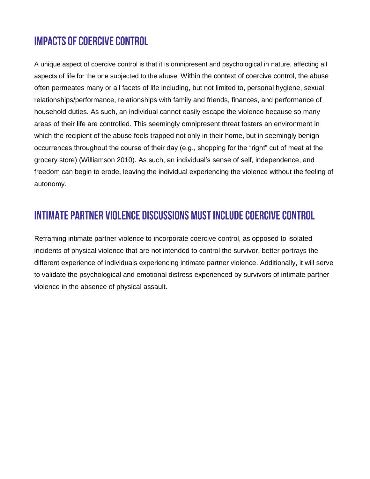## **IMPACTS OF COERCIVE CONTROL**

A unique aspect of coercive control is that it is omnipresent and psychological in nature, affecting all aspects of life for the one subjected to the abuse. Within the context of coercive control, the abuse often permeates many or all facets of life including, but not limited to, personal hygiene, sexual relationships/performance, relationships with family and friends, finances, and performance of household duties. As such, an individual cannot easily escape the violence because so many areas of their life are controlled. This seemingly omnipresent threat fosters an environment in which the recipient of the abuse feels trapped not only in their home, but in seemingly benign occurrences throughout the course of their day (e.g., shopping for the "right" cut of meat at the grocery store) (Williamson 2010). As such, an individual's sense of self, independence, and freedom can begin to erode, leaving the individual experiencing the violence without the feeling of autonomy.

## INTIMATE PARTNER VIOLENCE DISCUSSIONS MUST INCLUDE COERCIVE CONTROL

Reframing intimate partner violence to incorporate coercive control, as opposed to isolated incidents of physical violence that are not intended to control the survivor, better portrays the different experience of individuals experiencing intimate partner violence. Additionally, it will serve to validate the psychological and emotional distress experienced by survivors of intimate partner violence in the absence of physical assault.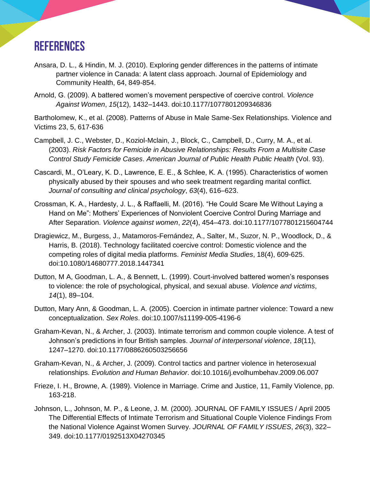## **REFERENCES**

- Ansara, D. L., & Hindin, M. J. (2010). Exploring gender differences in the patterns of intimate partner violence in Canada: A latent class approach. Journal of Epidemiology and Community Health, 64, 849-854.
- Arnold, G. (2009). A battered women's movement perspective of coercive control. *Violence Against Women*, *15*(12), 1432–1443. doi:10.1177/1077801209346836

Bartholomew, K., et al. (2008). Patterns of Abuse in Male Same-Sex Relationships. Violence and Victims 23, 5, 617-636

- Campbell, J. C., Webster, D., Koziol-Mclain, J., Block, C., Campbell, D., Curry, M. A., et al. (2003). *Risk Factors for Femicide in Abusive Relationships: Results From a Multisite Case Control Study Femicide Cases*. *American Journal of Public Health Public Health* (Vol. 93).
- Cascardi, M., O'Leary, K. D., Lawrence, E. E., & Schlee, K. A. (1995). Characteristics of women physically abused by their spouses and who seek treatment regarding marital conflict. *Journal of consulting and clinical psychology*, *63*(4), 616–623.
- Crossman, K. A., Hardesty, J. L., & Raffaelli, M. (2016). "He Could Scare Me Without Laying a Hand on Me": Mothers' Experiences of Nonviolent Coercive Control During Marriage and After Separation. *Violence against women*, *22*(4), 454–473. doi:10.1177/1077801215604744
- Dragiewicz, M., Burgess, J., Matamoros-Fernández, A., Salter, M., Suzor, N. P., Woodlock, D., & Harris, B. (2018). Technology facilitated coercive control: Domestic violence and the competing roles of digital media platforms. *Feminist Media Studies*, 18(4), 609-625. doi:10.1080/14680777.2018.1447341
- Dutton, M A, Goodman, L. A., & Bennett, L. (1999). Court-involved battered women's responses to violence: the role of psychological, physical, and sexual abuse. *Violence and victims*, *14*(1), 89–104.
- Dutton, Mary Ann, & Goodman, L. A. (2005). Coercion in intimate partner violence: Toward a new conceptualization. *Sex Roles*. doi:10.1007/s11199-005-4196-6
- Graham-Kevan, N., & Archer, J. (2003). Intimate terrorism and common couple violence. A test of Johnson's predictions in four British samples. *Journal of interpersonal violence*, *18*(11), 1247–1270. doi:10.1177/0886260503256656
- Graham-Kevan, N., & Archer, J. (2009). Control tactics and partner violence in heterosexual relationships. *Evolution and Human Behavior*. doi:10.1016/j.evolhumbehav.2009.06.007
- Frieze, I. H., Browne, A. (1989). Violence in Marriage. Crime and Justice, 11, Family Violence, pp. 163-218.
- Johnson, L., Johnson, M. P., & Leone, J. M. (2000). JOURNAL OF FAMILY ISSUES / April 2005 The Differential Effects of Intimate Terrorism and Situational Couple Violence Findings From the National Violence Against Women Survey. *JOURNAL OF FAMILY ISSUES*, *26*(3), 322– 349. doi:10.1177/0192513X04270345